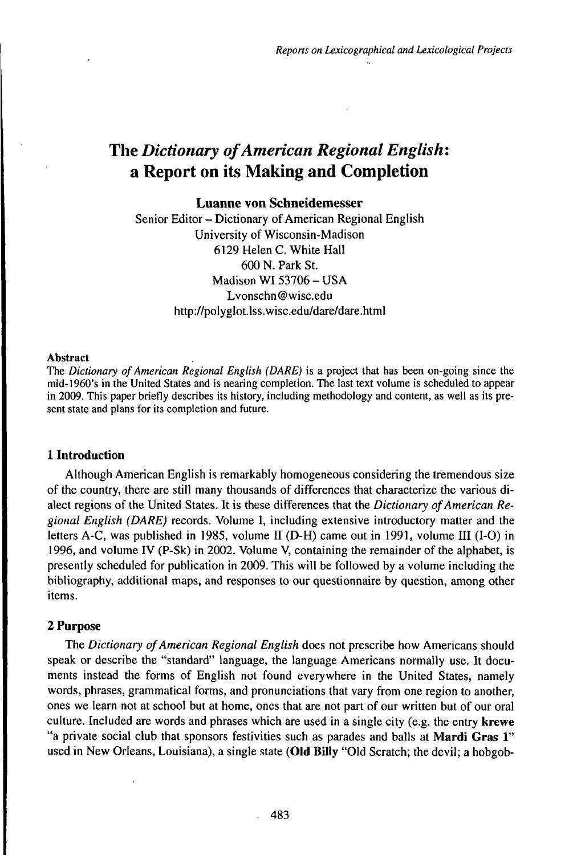# The *Dictionary ofAmerican Regional English:* a Report on its Making and Completion

# **Luanne von Schneidemesser**

Senior Editor - Dictionary of American Regional English University of Wisconsin-Madison 6129 Helen C. White Hall 600 N. Park St. Madison WI 53706 - USA Lvonschn@wisc.edu http://polyglot.lss.wisc.edu/dare/dare.html

### Abstract

The *Dictionary ofAmerican Regional English (DARE)* is a project that has been on-going since the mid-1960's in the United States and is nearing completion. The last text volume is scheduled to appear in 2009. This paper briefly describes its history, including methodology and content, as well as its present state and plans for its completion and future.

# 1 **Introduction**

Although American English is remarkably homogeneous considering the tremendous size of the country, there are still many thousands of differences that characterize the various dialect regions of the United States. It is these differences that the *Dictionary of American Regional English (DARE)* records. Volume I, including extensive introductory matter and the letters A-C, was published in 1985, volume II (D-H) came out in 1991, volume III (1-0) in 1996, and volume IV (P-Sk) in 2002. Volume V, containing the remainder of the alphabet, is presently scheduled for publication in 2009. This will be followed by a volume including the bibliography, additional maps, and responses to our questionnaire by question, among other items.

# 2 **Purpose**

The *Dictionary ofAmerican Regional English* does not prescribe how Americans should speak or describe the "standard" language, the language Americans normally use. It documents instead the forms of English not found everywhere in the United States, namely words, phrases, grammatical forms, and pronunciations that vary from one region to another, ones we learn not at school but at home, ones that are not part of our written but of our oral culture. Included are words and phrases which are used in a single city (e.g. the entry krewe "a private social club that sponsors festivities such as parades and balls at **Mardi** Gras 1" used in New Orleans, Louisiana), a single state **(Old Billy** "Old Scratch; the devil; a hobgob-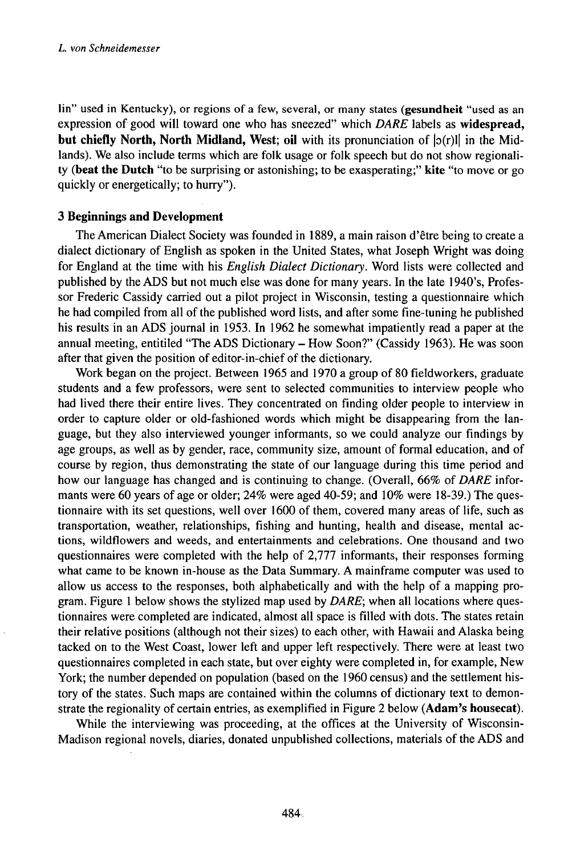lin" used in Kentucky), or regions of a few, several, or many states **(gesundheit** "used as an expression of good will toward one who has sneezed" which *DARE* labels as **widespread, but chiefly North, North Midland, West; oil** with its pronunciation of  $|o(r)|$  in the Midlands). We also include terms which are folk usage or folk speech but do not show regionality **(beat the Dutch** "to be surprising or astonishing; to be exasperating;" **kite** "to move or go quickly or energetically; to hurry").

# **3 Beginnings and Development**

TheAmerican Dialect Society was founded in 1889, a main raison d'être being to create a dialect dictionary of English as spoken in the United States, what Joseph Wright was doing for England at the time with his *English Dialect Dictionary.* Word lists were collected and published by the ADS but not much else was done for many years. In the late 1940's, Professor Frederic Cassidy carried out a pilot project in Wisconsin, testing a questionnaire which he had compiled from all of the published word lists, and after some fine-tuning he published his results in an ADS journal in 1953. In 1962 he somewhat impatiently read a paper at the annual meeting, entitiled "The ADS Dictionary - How Soon?" (Cassidy 1963). He was soon after that given the position of editor-in-chief of the dictionary.

Work began on the project. Between 1965 and 1970 a group of 80 fieldworkers, graduate students and a few professors, were sent to selected communities to interview people who had lived there their entire lives. They concentrated on finding older people to interview in order to capture older or old-fashioned words which might be disappearing from the language, but they also interviewed younger informants, so we could analyze our findings by age groups, as well as by gender, race, community size, amount of formal education, and of course by region, thus demonstrating the state of our language during this time period and how our language has changed and is continuing to change. (Overall, 66% of *DARE* informants were 60 years of age or older;  $24\%$  were aged  $40-59$ ; and  $10\%$  were 18-39.) The questionnaire with its set questions, well over 1600 of them, covered many areas of life, such as transportation, weather, relationships, fishing and hunting, health and disease, mental actions, wildflowers and weeds, and entertainments and celebrations. One thousand and two questionnaires were completed with the help of 2,777 informants, their responses forming what came to be known in-house as the Data Summary. A mainframe computer was used to allow us access to the responses, both alphabetically and with the help of a mapping program. Figure <sup>1</sup> below shows the stylized map used by *DARE;* when all locations where questionnaires were completed are indicated, almost all space is filled with dots. The states retain their relative positions (although not their sizes) to each other, with Hawaii and Alaska being tacked on to the West Coast, lower left and upper left respectively. There were at least two questionnaires completed in each state, but over eighty were completed in, for example, New York; the number depended on population (based on the 1960 census) and the settlement history of the states. Such maps are contained within the columns of dictionary text to demonstrate the regionality of certain entries, as exemplified in Figure 2 below **(Adam's housecat).**

While the interviewing was proceeding, at the offices at the University of Wisconsin-Madison regional novels, diaries, donated unpublished collections, materials of the ADS and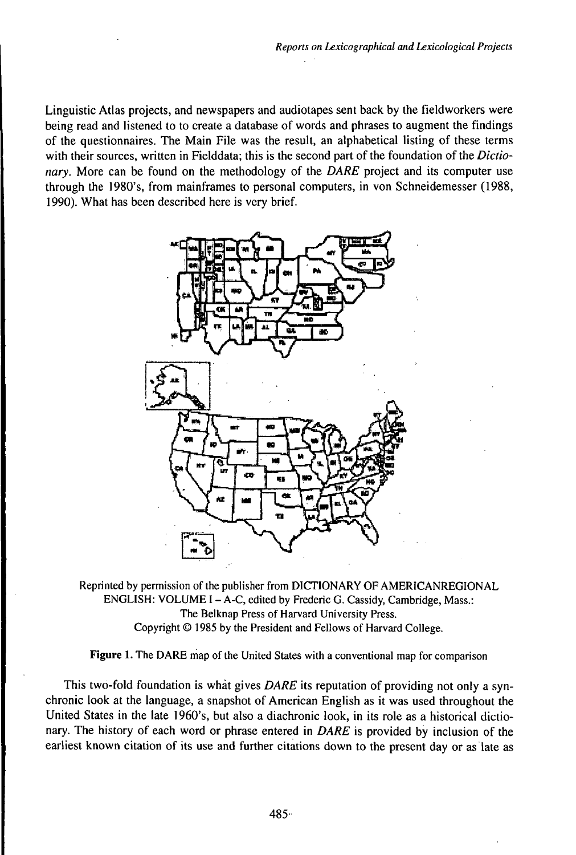Linguistic Atlas projects, and newspapers and audiotapes sent back by the fieldworkers were being read and listened to to create a database of words and phrases to augment the findings of the questionnaires. The Main File was the result, an alphabetical listing of these terms with their sources, written in Fielddata; this is the second part of the foundation of the *Dictionary.* More can be found on the methodology of the *DARE* project and its computer use through the 1980's, from mainframes to personal computers, in von Schneidemesser (1988, 1990). What has been described here is very brief.



Reprinted by permission of the publisher from DICTIONARY OF AMERICANREGIONAL ENGLISH: VOLUME I-A-C, edited by Frederic G. Cassidy, Cambridge, Mass.: The Belknap Press of Harvard University Press. Copyright © 1985 by the President and Fellows of Harvard College.

Figure 1. The DARE map of the United States with a conventional map for comparison

This two-fold foundation is whàt gives *DARE* its reputation of providing not only a synchronic look at the language, a snapshot of American English as it was used throughout the United States in the late 1960's, but also a diachronic look, in its role as a historical dictionary. The history of each word or phrase entered in *DARE* is provided by inclusion of the earliest known citation of its use and further citations down to the present day or as late as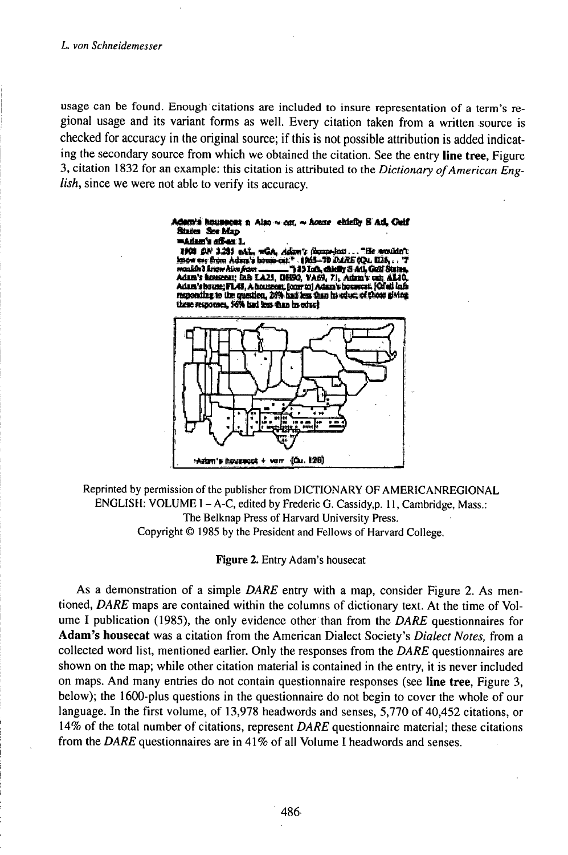### L. von Schneidemesser

usage can be found. Enough citations are included to insure representation of a term's regional usage and its variant forms as well. Every citation taken from a written source is checked for accuracy in the original source; if this is not possible attribution is added indicating the secondary source from which we obtained the citation. See the entry line tree, Figure 3, citation 1832 for an example: this citation is attributed to the Dictionary of American Eng*lish*, since we were not able to verify its accuracy.

#### demis houseest a Also ~ car. ~ house eblefiy S Ad. Guif States See Map ≡Adam's af&ax 1.

1901 00 1213 eAL, wGA, Adam's Generics.... "He wouldn't "He wouldn't mow was more consequent."<br>
Non-20 Mark Schen (2003-20 Mark Schen Gall String, Addin's Boundary Schen Land, Calif String, Addin's Boundary Schen Addin's Boundary Schen Adding the California Consequent (On the California) a



Reprinted by permission of the publisher from DICTIONARY OF AMERICANREGIONAL ENGLISH: VOLUME I - A-C, edited by Frederic G. Cassidy,p. 11, Cambridge, Mass.: The Belknap Press of Harvard University Press. Copyright © 1985 by the President and Fellows of Harvard College.

Figure 2. Entry Adam's housecat

As a demonstration of a simple DARE entry with a map, consider Figure 2. As mentioned, DARE maps are contained within the columns of dictionary text. At the time of Volume I publication (1985), the only evidence other than from the DARE questionnaires for Adam's housecat was a citation from the American Dialect Society's Dialect Notes, from a collected word list, mentioned earlier. Only the responses from the DARE questionnaires are shown on the map; while other citation material is contained in the entry, it is never included on maps. And many entries do not contain questionnaire responses (see line tree, Figure 3, below); the 1600-plus questions in the questionnaire do not begin to cover the whole of our language. In the first volume, of 13,978 headwords and senses, 5,770 of 40,452 citations, or 14% of the total number of citations, represent DARE questionnaire material; these citations from the DARE questionnaires are in 41% of all Volume I headwords and senses.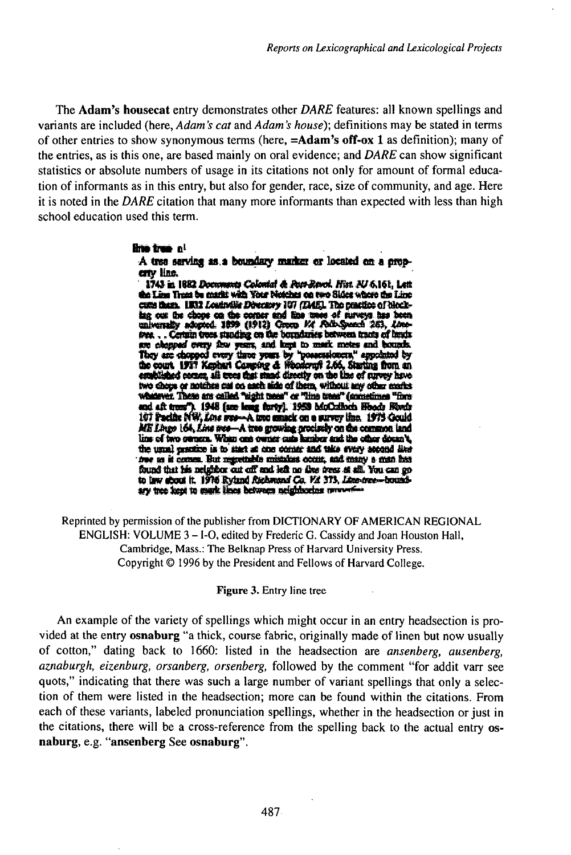The Adam's housecat entry demonstrates other DARE features: all known spellings and variants are included (here, *Adam's cat* and *Adam's house*); definitions may be stated in terms of other entries to show synonymous terms (here, =Adam's off-ox 1 as definition); many of the entries, as is this one, are based mainly on oral evidence; and DARE can show significant statistics or absolute numbers of usage in its citations not only for amount of formal education of informants as in this entry, but also for gender, race, size of community, and age. Here it is noted in the DARE citation that many more informants than expected with less than high school education used this term.

### **Brio tree** of

A tree serving as a boundary marker or located on a properry Hne.

1743 in 1882 Documents Colonial & Post-Revol. Hist. NJ 6.161, Lett. the Line Trees be markt with Your Netches on two Sides where the Line cutte than. 1832 Louisville Directory 107 (DAE). The practice of blockleg cost the chops on the content and line trees of surveys has been universally adopted. 1899 (1912) Group Mr Poth-Speech 263, Love-tree,... Certain trees standing on the boundaries between tracts of bands over a compact over seasons and help to mask meter and bounds.<br>They are chapped overy three years, and help to mask meter and bounds.<br>They are chapped every three years by "possessioners," appointed by<br>the court. 1917 Keph wherever. These are called "sight trees" or "line trees" (annetimes "fore and aft trees"). 1948 (am leng farty). 1953 McColloch Hoods Roeds ME Lings 164, Line wes-A tree growing procletly on the common land<br>line of two owners. When one owner cate hamber and the other doesn't, the usual prestice is to start at one comer and take every accord like free as it comes. But regretable misakes occur, and many a man has found that his neighbor out off and left no deep frees at all. You can go to law about it. 1976 Ryland Richmand Co. Vd 373, Line-tree-boundary tree kept to mark lines between neighboring proverties

Reprinted by permission of the publisher from DICTIONARY OF AMERICAN REGIONAL ENGLISH: VOLUME 3 – I-O, edited by Frederic G. Cassidy and Joan Houston Hall, Cambridge, Mass.: The Belknap Press of Harvard University Press. Copyright © 1996 by the President and Fellows of Harvard College.

### Figure 3. Entry line tree

An example of the variety of spellings which might occur in an entry headsection is provided at the entry osnaburg "a thick, course fabric, originally made of linen but now usually of cotton," dating back to 1660: listed in the headsection are *ansenberg*, *ausenberg*, aznaburgh, eizenburg, orsanberg, orsenberg, followed by the comment "for addit varr see quots," indicating that there was such a large number of variant spellings that only a selection of them were listed in the headsection; more can be found within the citations. From each of these variants, labeled pronunciation spellings, whether in the headsection or just in the citations, there will be a cross-reference from the spelling back to the actual entry osnaburg, e.g. "ansenberg See osnaburg".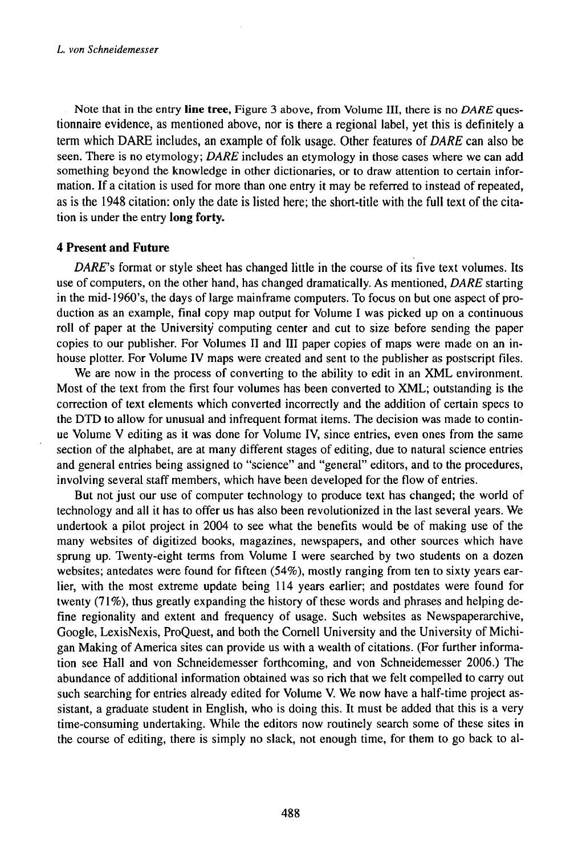Note that in the entry **line tree,** Figure 3 above, from Volume III, there is no *DARE* questionnaire evidence, as mentioned above, nor is there a regional label, yet this is definitely a term which DARE includes, an example of folk usage. Other features of *DARE* can also be seen. There is no etymology; *DARE* includes an etymology in those cases where we can add something beyond the knowledge in other dictionaries, or to draw attention to certain information. If a citation is used for more than one entry it may be referred to instead of repeated, as is the 1948 citation: only the date is listed here; the short-title with the full text ofthe citation is under the entry **long forty.**

# **4 Present and Future**

*DARE's* format or style sheet has changed little in the course of its five text volumes. Its use of computers, on the other hand, has changed dramatically. As mentioned, *DARE* starting in the mid-1960's, the days of large mainframe computers. To focus on but one aspect of production as an example, final copy map output for Volume I was picked up on a continuous roll of paper at the University computing center and cut to size before sending the paper copies to our publisher. For Volumes II and III paper copies of maps were made on an inhouse plotter. For Volume IV maps were created and sent to the publisher as postscript files.

We are now in the process of converting to the ability to edit in an XML environment. Most of the text from the first four volumes has been converted to XML; outstanding is the correction of text elements which converted incorrectly and the addition of certain specs to the DTD to allow for unusual and infrequent format items. The decision was made to continue Volume V editing as it was done for Volume IV, since entries, even ones from the same section of the alphabet, are at many different stages of editing, due to natural science entries and general entries being assigned to "science" and "general" editors, and to the procedures, involving several staff members, which have been developed for the flow of entries.

But not just our use of computer technology to produce text has changed; the world of technology and all it has to offer us has also been revolutionized in the last several years. We undertook a pilot project in 2004 to see what the benefits would be of making use of the many websites of digitized books, magazines, newspapers, and other sources which have sprung up. Twenty-eight terms from Volume I were searched by two students on a dozen websites; antedates were found for fifteen (54%), mostly ranging from ten to sixty years earlier, with the most extreme update being 114 years earlier; and postdates were found for twenty  $(71\%)$ , thus greatly expanding the history of these words and phrases and helping define regionality and extent and frequency of usage. Such websites as Newspaperarchive, Google, LexisNexis, ProQuest, and both the Cornell University and the University of Michigan Making of America sites can provide us with a wealth of citations. (For further information see Hall and von Schneidemesser forthcoming, and von Schneidemesser 2006.) The abundance of additional information obtained was so rich that we felt compelled to carry out such searching for entries already edited for Volume V. We now have a half-time project assistant, a graduate student in English, who is doing this. It must be added that this is a very time-consuming undertaking. While the editors now routinely search some of these sites in the course of editing, there is simply no slack, not enough time, for them to go back to al